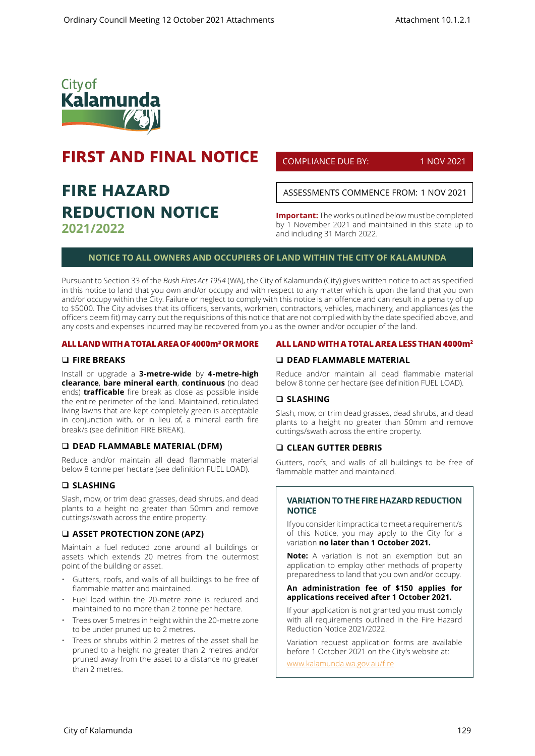

# **FIRST AND FINAL NOTICE**

# **FIRE HAZARD REDUCTION NOTICE 2021/2022**

COMPLIANCE DUE BY: 1 NOV 2021

ASSESSMENTS COMMENCE FROM: 1 NOV 2021

**Important:** The works outlined below must be completed by 1 November 2021 and maintained in this state up to and including 31 March 2022.

# **NOTICE TO ALL OWNERS AND OCCUPIERS OF LAND WITHIN THE CITY OF KALAMUNDA**

Pursuant to Section 33 of the *Bush Fires Act 1954* (WA), the City of Kalamunda (City) gives written notice to act as specified in this notice to land that you own and/or occupy and with respect to any matter which is upon the land that you own and/or occupy within the City. Failure or neglect to comply with this notice is an offence and can result in a penalty of up to \$5000. The City advises that its officers, servants, workmen, contractors, vehicles, machinery, and appliances (as the officers deem fit) may carry out the requisitions of this notice that are not complied with by the date specified above, and any costs and expenses incurred may be recovered from you as the owner and/or occupier of the land.

#### **ALL LAND WITH A TOTAL AREA OF 4000m² OR MORE**

#### **FIRE BREAKS**

Install or upgrade a **3-metre-wide** by **4-metre-high clearance**, **bare mineral earth**, **continuous** (no dead ends) **trafficable** fire break as close as possible inside the entire perimeter of the land. Maintained, reticulated living lawns that are kept completely green is acceptable in conjunction with, or in lieu of, a mineral earth fire break/s (see definition FIRE BREAK).

#### **DEAD FLAMMABLE MATERIAL (DFM)**

Reduce and/or maintain all dead flammable material below 8 tonne per hectare (see definition FUEL LOAD).

# **SLASHING**

Slash, mow, or trim dead grasses, dead shrubs, and dead plants to a height no greater than 50mm and remove cuttings/swath across the entire property.

#### **ASSET PROTECTION ZONE (APZ)**

Maintain a fuel reduced zone around all buildings or assets which extends 20 metres from the outermost point of the building or asset.

- Gutters, roofs, and walls of all buildings to be free of flammable matter and maintained.
- Fuel load within the 20-metre zone is reduced and maintained to no more than 2 tonne per hectare.
- Trees over 5 metres in height within the 20-metre zone to be under pruned up to 2 metres.
- Trees or shrubs within 2 metres of the asset shall be pruned to a height no greater than 2 metres and/or pruned away from the asset to a distance no greater than 2 metres.

#### **ALL LAND WITH A TOTAL AREA LESS THAN 4000m2**

# **DEAD FLAMMABLE MATERIAL**

Reduce and/or maintain all dead flammable material below 8 tonne per hectare (see definition FUEL LOAD).

#### **SLASHING**

Slash, mow, or trim dead grasses, dead shrubs, and dead plants to a height no greater than 50mm and remove cuttings/swath across the entire property.

#### **CLEAN GUTTER DEBRIS**

Gutters, roofs, and walls of all buildings to be free of flammable matter and maintained.

#### **VARIATION TO THE FIRE HAZARD REDUCTION NOTICE**

If you consider it impractical to meet a requirement/s of this Notice, you may apply to the City for a variation **no later than 1 October 2021.** 

**Note:** A variation is not an exemption but an application to employ other methods of property preparedness to land that you own and/or occupy.

#### **An administration fee of \$150 applies for applications received after 1 October 2021.**

If your application is not granted you must comply with all requirements outlined in the Fire Hazard Reduction Notice 2021/2022.

Variation request application forms are available before 1 October 2021 on the City's website at:

www.kalamunda.wa.gov.au/fire